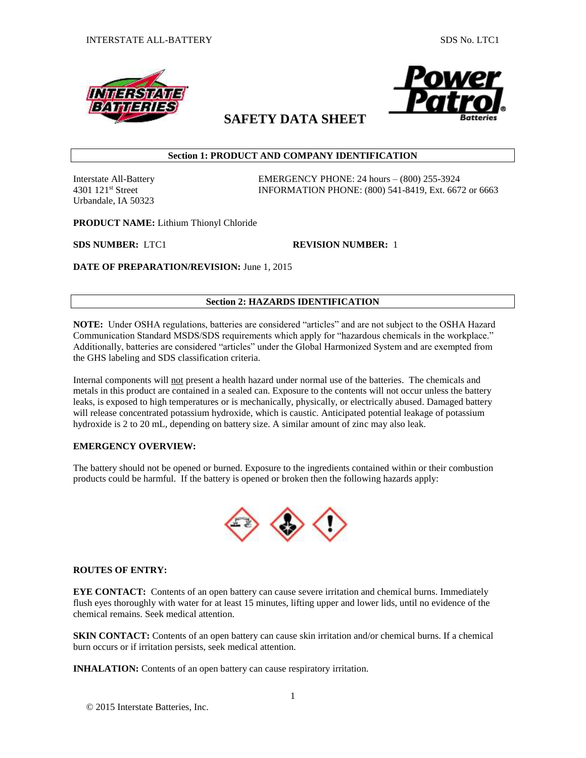



# **SAFETY DATA SHEET**

# **Section 1: PRODUCT AND COMPANY IDENTIFICATION**

Urbandale, IA 50323

Interstate All-Battery EMERGENCY PHONE: 24 hours – (800) 255-3924 4301 121st Street INFORMATION PHONE: (800) 541-8419, Ext. 6672 or 6663

**PRODUCT NAME:** Lithium Thionyl Chloride

**SDS NUMBER:** LTC1 **REVISION NUMBER:** 1

**DATE OF PREPARATION/REVISION:** June 1, 2015

# **Section 2: HAZARDS IDENTIFICATION**

**NOTE:** Under OSHA regulations, batteries are considered "articles" and are not subject to the OSHA Hazard Communication Standard MSDS/SDS requirements which apply for "hazardous chemicals in the workplace." Additionally, batteries are considered "articles" under the Global Harmonized System and are exempted from the GHS labeling and SDS classification criteria.

Internal components will not present a health hazard under normal use of the batteries. The chemicals and metals in this product are contained in a sealed can. Exposure to the contents will not occur unless the battery leaks, is exposed to high temperatures or is mechanically, physically, or electrically abused. Damaged battery will release concentrated potassium hydroxide, which is caustic. Anticipated potential leakage of potassium hydroxide is 2 to 20 mL, depending on battery size. A similar amount of zinc may also leak.

#### **EMERGENCY OVERVIEW:**

The battery should not be opened or burned. Exposure to the ingredients contained within or their combustion products could be harmful. If the battery is opened or broken then the following hazards apply:



# **ROUTES OF ENTRY:**

**EYE CONTACT:** Contents of an open battery can cause severe irritation and chemical burns. Immediately flush eyes thoroughly with water for at least 15 minutes, lifting upper and lower lids, until no evidence of the chemical remains. Seek medical attention.

**SKIN CONTACT:** Contents of an open battery can cause skin irritation and/or chemical burns. If a chemical burn occurs or if irritation persists, seek medical attention.

**INHALATION:** Contents of an open battery can cause respiratory irritation.

© 2015 Interstate Batteries, Inc.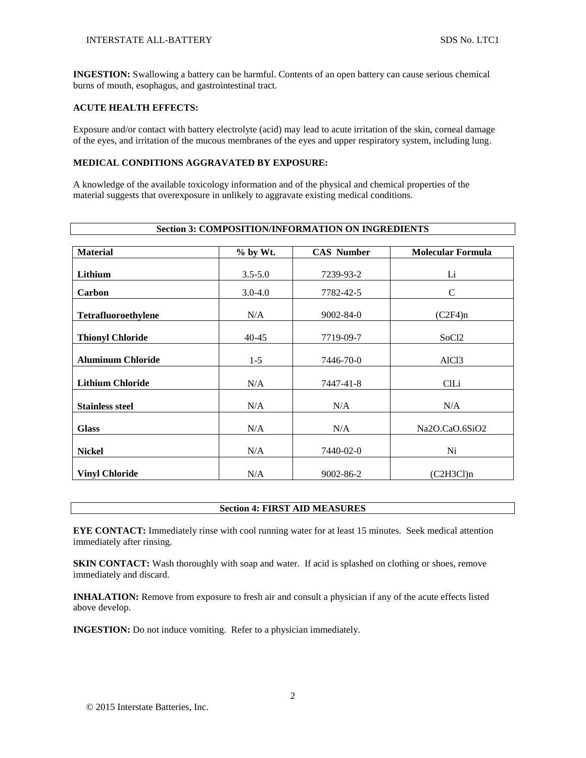**INGESTION:** Swallowing a battery can be harmful. Contents of an open battery can cause serious chemical burns of mouth, esophagus, and gastrointestinal tract.

#### **ACUTE HEALTH EFFECTS:**

Exposure and/or contact with battery electrolyte (acid) may lead to acute irritation of the skin, corneal damage of the eyes, and irritation of the mucous membranes of the eyes and upper respiratory system, including lung.

#### **MEDICAL CONDITIONS AGGRAVATED BY EXPOSURE:**

A knowledge of the available toxicology information and of the physical and chemical properties of the material suggests that overexposure in unlikely to aggravate existing medical conditions.

| <b>Section 3: COMPOSITION/INFORMATION ON INGREDIENTS</b> |             |                   |                          |  |
|----------------------------------------------------------|-------------|-------------------|--------------------------|--|
| <b>Material</b>                                          | % by Wt.    | <b>CAS Number</b> | <b>Molecular Formula</b> |  |
| Lithium                                                  | $3.5 - 5.0$ | 7239-93-2         | Li                       |  |
| <b>Carbon</b>                                            | $3.0 - 4.0$ | 7782-42-5         | C                        |  |
| <b>Tetrafluoroethylene</b>                               | N/A         | $9002 - 84 - 0$   | (C2F4)n                  |  |
| <b>Thionyl Chloride</b>                                  | $40 - 45$   | 7719-09-7         | SoC <sub>12</sub>        |  |
| <b>Aluminum Chloride</b>                                 | $1 - 5$     | 7446-70-0         | AlC <sub>13</sub>        |  |
| <b>Lithium Chloride</b>                                  | N/A         | 7447-41-8         | ClLi                     |  |
| <b>Stainless steel</b>                                   | N/A         | N/A               | N/A                      |  |
| <b>Glass</b>                                             | N/A         | N/A               | Na2O.CaO.6SiO2           |  |
| <b>Nickel</b>                                            | N/A         | 7440-02-0         | Ni                       |  |
| <b>Vinyl Chloride</b>                                    | N/A         | 9002-86-2         | (C2H3Cl)n                |  |

# **Section 4: FIRST AID MEASURES**

**EYE CONTACT:** Immediately rinse with cool running water for at least 15 minutes. Seek medical attention immediately after rinsing.

**SKIN CONTACT:** Wash thoroughly with soap and water. If acid is splashed on clothing or shoes, remove immediately and discard.

**INHALATION:** Remove from exposure to fresh air and consult a physician if any of the acute effects listed above develop.

**INGESTION:** Do not induce vomiting. Refer to a physician immediately.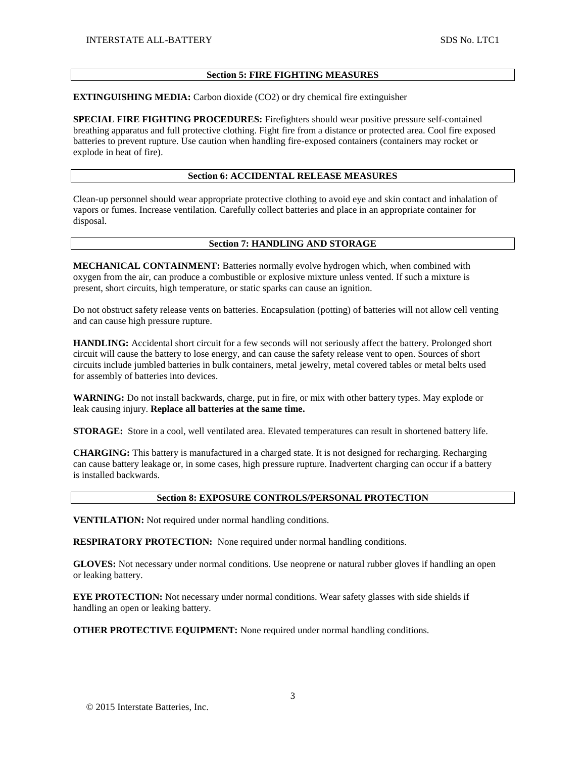#### **Section 5: FIRE FIGHTING MEASURES**

**EXTINGUISHING MEDIA:** Carbon dioxide (CO2) or dry chemical fire extinguisher

**SPECIAL FIRE FIGHTING PROCEDURES:** Firefighters should wear positive pressure self-contained breathing apparatus and full protective clothing. Fight fire from a distance or protected area. Cool fire exposed batteries to prevent rupture. Use caution when handling fire-exposed containers (containers may rocket or explode in heat of fire).

## **Section 6: ACCIDENTAL RELEASE MEASURES**

Clean-up personnel should wear appropriate protective clothing to avoid eye and skin contact and inhalation of vapors or fumes. Increase ventilation. Carefully collect batteries and place in an appropriate container for disposal.

#### **Section 7: HANDLING AND STORAGE**

**MECHANICAL CONTAINMENT:** Batteries normally evolve hydrogen which, when combined with oxygen from the air, can produce a combustible or explosive mixture unless vented. If such a mixture is present, short circuits, high temperature, or static sparks can cause an ignition.

Do not obstruct safety release vents on batteries. Encapsulation (potting) of batteries will not allow cell venting and can cause high pressure rupture.

**HANDLING:** Accidental short circuit for a few seconds will not seriously affect the battery. Prolonged short circuit will cause the battery to lose energy, and can cause the safety release vent to open. Sources of short circuits include jumbled batteries in bulk containers, metal jewelry, metal covered tables or metal belts used for assembly of batteries into devices.

**WARNING:** Do not install backwards, charge, put in fire, or mix with other battery types. May explode or leak causing injury. **Replace all batteries at the same time.**

**STORAGE:** Store in a cool, well ventilated area. Elevated temperatures can result in shortened battery life.

**CHARGING:** This battery is manufactured in a charged state. It is not designed for recharging. Recharging can cause battery leakage or, in some cases, high pressure rupture. Inadvertent charging can occur if a battery is installed backwards.

#### **Section 8: EXPOSURE CONTROLS/PERSONAL PROTECTION**

**VENTILATION:** Not required under normal handling conditions.

**RESPIRATORY PROTECTION:** None required under normal handling conditions.

**GLOVES:** Not necessary under normal conditions. Use neoprene or natural rubber gloves if handling an open or leaking battery.

**EYE PROTECTION:** Not necessary under normal conditions. Wear safety glasses with side shields if handling an open or leaking battery.

**OTHER PROTECTIVE EQUIPMENT:** None required under normal handling conditions.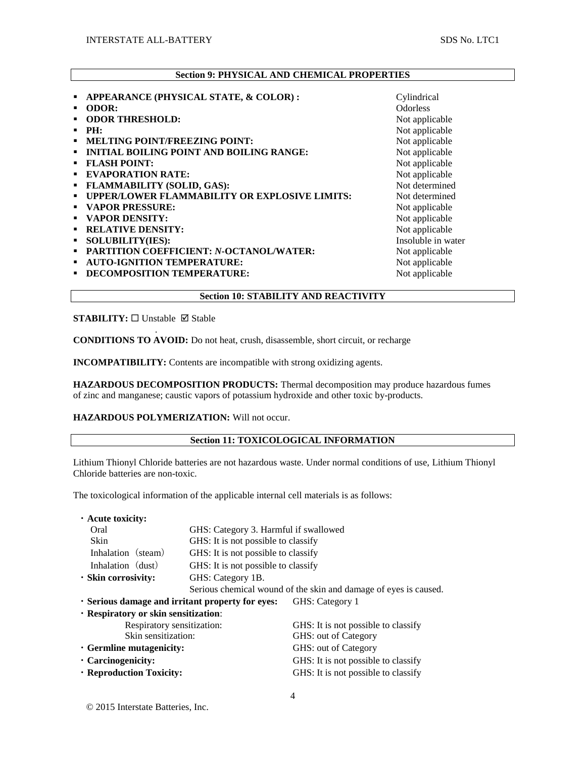# **Section 9: PHYSICAL AND CHEMICAL PROPERTIES**

| APPEARANCE (PHYSICAL STATE, & COLOR):<br>٠                | Cylindrical        |
|-----------------------------------------------------------|--------------------|
| <b>ODOR:</b>                                              | <b>Odorless</b>    |
| <b>ODOR THRESHOLD:</b>                                    | Not applicable     |
| PH:                                                       | Not applicable     |
| <b>MELTING POINT/FREEZING POINT:</b><br>٠                 | Not applicable     |
| <b>INITIAL BOILING POINT AND BOILING RANGE:</b><br>٠      | Not applicable     |
| <b>FLASH POINT:</b><br>٠                                  | Not applicable     |
| <b>EVAPORATION RATE:</b><br>٠                             | Not applicable     |
| <b>FLAMMABILITY (SOLID, GAS):</b><br>٠                    | Not determined     |
| <b>UPPER/LOWER FLAMMABILITY OR EXPLOSIVE LIMITS:</b><br>٠ | Not determined     |
| <b>VAPOR PRESSURE:</b><br>٠                               | Not applicable     |
| <b>VAPOR DENSITY:</b><br>٠                                | Not applicable     |
| <b>RELATIVE DENSITY:</b><br>٠                             | Not applicable     |
| <b>SOLUBILITY(IES):</b><br>٠                              | Insoluble in water |
| <b>PARTITION COEFFICIENT: N-OCTANOL/WATER:</b><br>٠       | Not applicable     |
| <b>AUTO-IGNITION TEMPERATURE:</b><br>٠                    | Not applicable     |
| DECOMPOSITION TEMPERATURE:                                | Not applicable     |
|                                                           |                    |

**STABILITY:** □ Unstable □ Stable

.

**CONDITIONS TO AVOID:** Do not heat, crush, disassemble, short circuit, or recharge

**INCOMPATIBILITY:** Contents are incompatible with strong oxidizing agents.

**HAZARDOUS DECOMPOSITION PRODUCTS:** Thermal decomposition may produce hazardous fumes of zinc and manganese; caustic vapors of potassium hydroxide and other toxic by-products.

**Section 10: STABILITY AND REACTIVITY**

**HAZARDOUS POLYMERIZATION:** Will not occur.

# **Section 11: TOXICOLOGICAL INFORMATION**

Lithium Thionyl Chloride batteries are not hazardous waste. Under normal conditions of use, Lithium Thionyl Chloride batteries are non-toxic.

The toxicological information of the applicable internal cell materials is as follows:

| · Acute toxicity:                                |                                                                  |                                     |  |  |
|--------------------------------------------------|------------------------------------------------------------------|-------------------------------------|--|--|
| Oral                                             | GHS: Category 3. Harmful if swallowed                            |                                     |  |  |
| Skin                                             | GHS: It is not possible to classify                              |                                     |  |  |
| Inhalation (steam)                               | GHS: It is not possible to classify                              |                                     |  |  |
| Inhalation (dust)                                | GHS: It is not possible to classify                              |                                     |  |  |
| · Skin corrosivity:                              | GHS: Category 1B.                                                |                                     |  |  |
|                                                  | Serious chemical wound of the skin and damage of eyes is caused. |                                     |  |  |
| . Serious damage and irritant property for eyes: |                                                                  | GHS: Category 1                     |  |  |
| · Respiratory or skin sensitization:             |                                                                  |                                     |  |  |
| Respiratory sensitization:                       |                                                                  | GHS: It is not possible to classify |  |  |
| Skin sensitization:                              |                                                                  | GHS: out of Category                |  |  |
| $\cdot$ Germline mutagenicity:                   |                                                                  | GHS: out of Category                |  |  |
| $\cdot$ Carcinogenicity:                         |                                                                  | GHS: It is not possible to classify |  |  |
| · Reproduction Toxicity:                         |                                                                  | GHS: It is not possible to classify |  |  |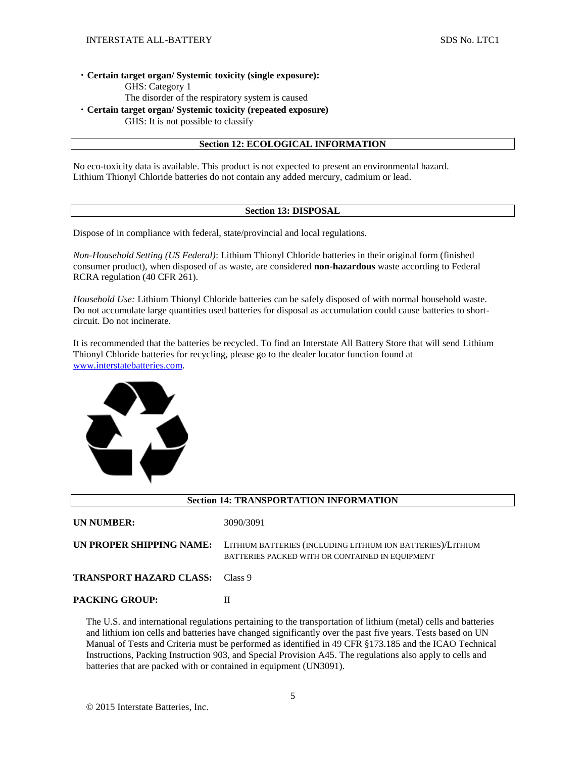#### ・**Certain target organ/ Systemic toxicity (single exposure):**

GHS: Category 1

The disorder of the respiratory system is caused

・**Certain target organ/ Systemic toxicity (repeated exposure)**

GHS: It is not possible to classify

# **Section 12: ECOLOGICAL INFORMATION**

No eco-toxicity data is available. This product is not expected to present an environmental hazard. Lithium Thionyl Chloride batteries do not contain any added mercury, cadmium or lead.

#### **Section 13: DISPOSAL**

Dispose of in compliance with federal, state/provincial and local regulations.

*Non-Household Setting (US Federal)*: Lithium Thionyl Chloride batteries in their original form (finished consumer product), when disposed of as waste, are considered **non-hazardous** waste according to Federal RCRA regulation (40 CFR 261).

*Household Use:* Lithium Thionyl Chloride batteries can be safely disposed of with normal household waste. Do not accumulate large quantities used batteries for disposal as accumulation could cause batteries to shortcircuit. Do not incinerate.

It is recommended that the batteries be recycled. To find an Interstate All Battery Store that will send Lithium Thionyl Chloride batteries for recycling, please go to the dealer locator function found at [www.interstatebatteries.com.](http://www.interstatebatteries.com/)



| <b>Section 14: TRANSPORTATION INFORMATION</b> |                                                                                                                |  |  |
|-----------------------------------------------|----------------------------------------------------------------------------------------------------------------|--|--|
| <b>UN NUMBER:</b>                             | 3090/3091                                                                                                      |  |  |
| UN PROPER SHIPPING NAME:                      | LITHIUM BATTERIES (INCLUDING LITHIUM ION BATTERIES)/LITHIUM<br>BATTERIES PACKED WITH OR CONTAINED IN EQUIPMENT |  |  |
| <b>TRANSPORT HAZARD CLASS:</b>                | Class 9                                                                                                        |  |  |
| <b>PACKING GROUP:</b>                         | П                                                                                                              |  |  |

The U.S. and international regulations pertaining to the transportation of lithium (metal) cells and batteries and lithium ion cells and batteries have changed significantly over the past five years. Tests based on UN Manual of Tests and Criteria must be performed as identified in 49 CFR §173.185 and the ICAO Technical Instructions, Packing Instruction 903, and Special Provision A45. The regulations also apply to cells and batteries that are packed with or contained in equipment (UN3091).